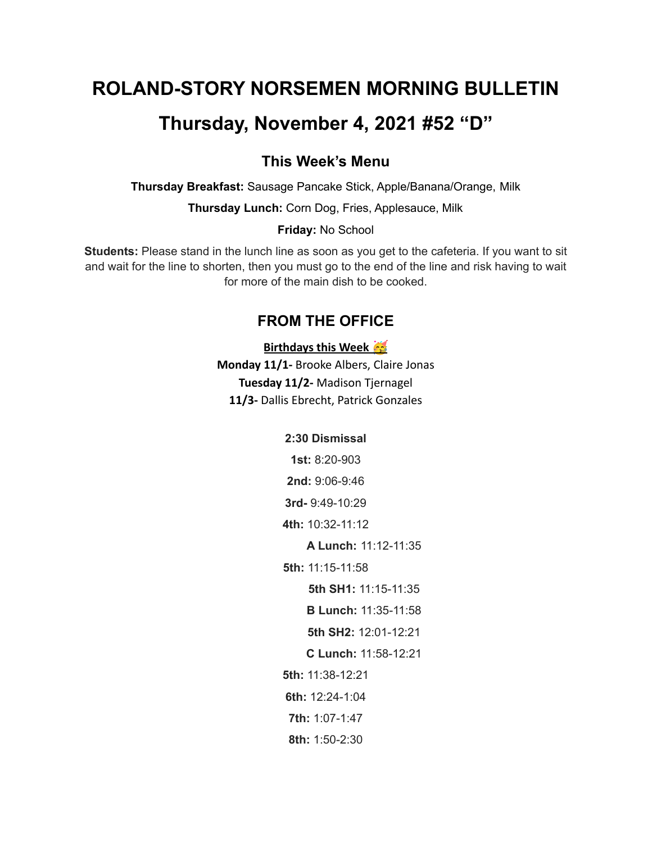# **ROLAND-STORY NORSEMEN MORNING BULLETIN**

# **Thursday, November 4, 2021 #52 "D"**

## **This Week's Menu**

**Thursday Breakfast:** Sausage Pancake Stick, Apple/Banana/Orange, Milk

**Thursday Lunch:** Corn Dog, Fries, Applesauce, Milk

#### **Friday:** No School

**Students:** Please stand in the lunch line as soon as you get to the cafeteria. If you want to sit and wait for the line to shorten, then you must go to the end of the line and risk having to wait for more of the main dish to be cooked.

# **FROM THE OFFICE**

#### **Birthdays this Week**

**Monday 11/1-** Brooke Albers, Claire Jonas **Tuesday 11/2-** Madison Tjernagel **11/3-** Dallis Ebrecht, Patrick Gonzales

#### **2:30 Dismissal**

**1st:** 8:20-903

**2nd:** 9:06-9:46

**3rd-** 9:49-10:29

**4th:** 10:32-11:12

**A Lunch:** 11:12-11:35

**5th:** 11:15-11:58

**5th SH1:** 11:15-11:35

**B Lunch:** 11:35-11:58

**5th SH2:** 12:01-12:21

**C Lunch:** 11:58-12:21

**5th:** 11:38-12:21

**6th:** 12:24-1:04

**7th:** 1:07-1:47

**8th:** 1:50-2:30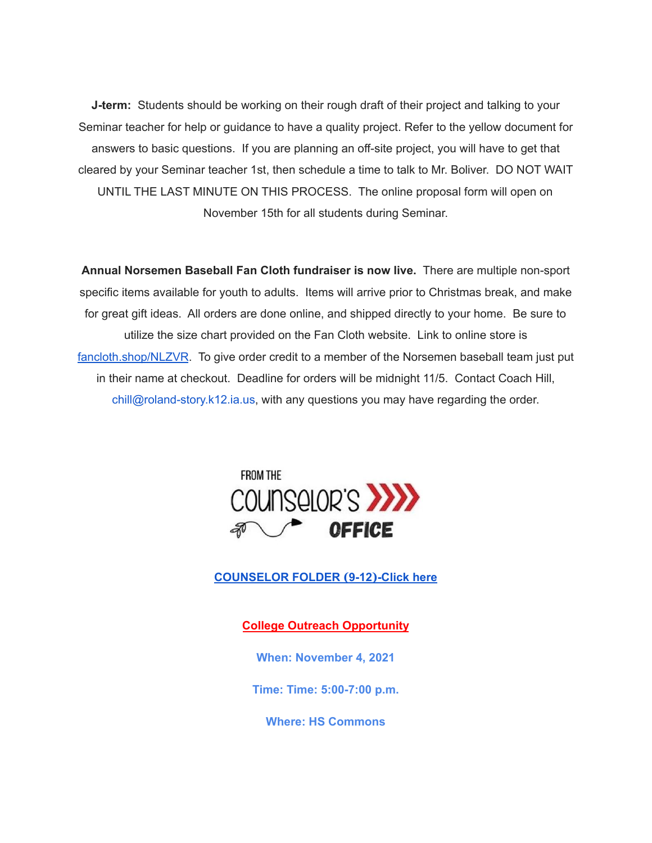**J-term:** Students should be working on their rough draft of their project and talking to your Seminar teacher for help or guidance to have a quality project. Refer to the yellow document for answers to basic questions. If you are planning an off-site project, you will have to get that cleared by your Seminar teacher 1st, then schedule a time to talk to Mr. Boliver. DO NOT WAIT UNTIL THE LAST MINUTE ON THIS PROCESS. The online proposal form will open on November 15th for all students during Seminar.

**Annual Norsemen Baseball Fan Cloth fundraiser is now live.** There are multiple non-sport specific items available for youth to adults. Items will arrive prior to Christmas break, and make for great gift ideas. All orders are done online, and shipped directly to your home. Be sure to utilize the size chart provided on the Fan Cloth website. Link to online store is [fancloth.shop/NLZVR](http://fancloth.shop/NLZVR). To give order credit to a member of the Norsemen baseball team just put in their name at checkout. Deadline for orders will be midnight 11/5. Contact Coach Hill, chill@roland-story.k12.ia.us, with any questions you may have regarding the order.



## **[COUNSELOR](https://docs.google.com/document/d/1vmwczNPbDzXe9vFaG5LJMQ7NYDv-i4oQJHybqA65TUc/edit?usp=sharing) FOLDER (9-12)-Click here**

## **College Outreach Opportunity**

**When: November 4, 2021**

**Time: Time: 5:00-7:00 p.m.**

**Where: HS Commons**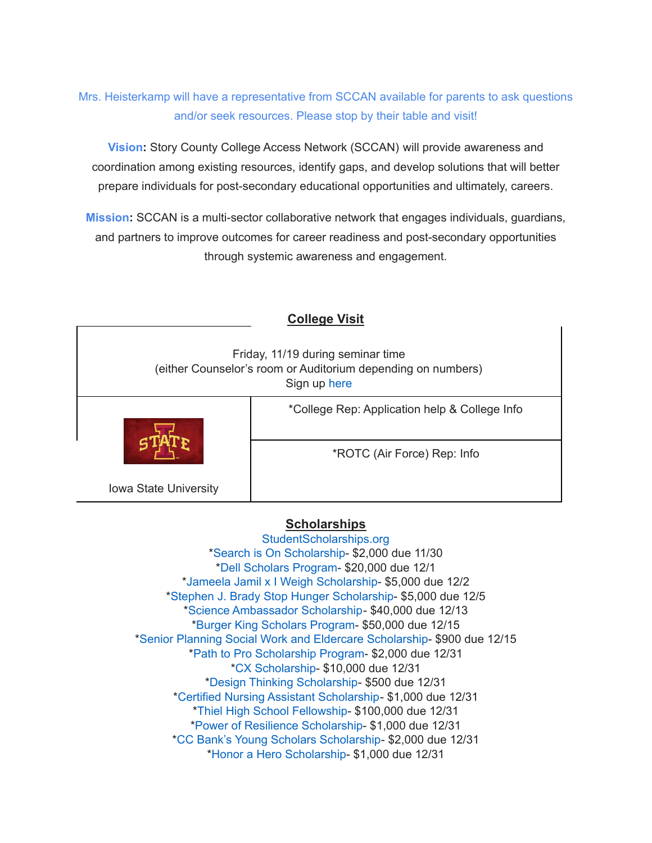# Mrs. Heisterkamp will have a representative from SCCAN available for parents to ask questions and/or seek resources. Please stop by their table and visit!

**Vision:** Story County College Access Network (SCCAN) will provide awareness and coordination among existing resources, identify gaps, and develop solutions that will better prepare individuals for post-secondary educational opportunities and ultimately, careers.

**Mission:** SCCAN is a multi-sector collaborative network that engages individuals, guardians, and partners to improve outcomes for career readiness and post-secondary opportunities through systemic awareness and engagement.

| <b>College Visit</b>                                                                                              |                                               |
|-------------------------------------------------------------------------------------------------------------------|-----------------------------------------------|
| Friday, 11/19 during seminar time<br>(either Counselor's room or Auditorium depending on numbers)<br>Sign up here |                                               |
|                                                                                                                   | *College Rep: Application help & College Info |
|                                                                                                                   | *ROTC (Air Force) Rep: Info                   |
| Iowa State University                                                                                             |                                               |

## **Scholarships**

[StudentScholarships.org](https://drive.google.com/file/d/1vNlRtrk0wQiX1jPIPjpUVHhi5zFlcRvw/view?usp=sharing) \*Search is On [Scholarship](https://studentscholarships.org/scholarship/19120/search_is_on_scholarship_scholarship.php)- \$2,000 due 11/30 \*Dell [Scholars](https://studentscholarships.org/scholarship/9745/dell_scholars_program_scholarship.php) Program- \$20,000 due 12/1 \*Jameela Jamil x I Weigh [Scholarship-](https://studentscholarships.org/scholarship/19302/jameela_jamil_x_i_weigh_scholarship_scholarship.php) \$5,000 due 12/2 \*Stephen J. Brady Stop Hunger [Scholarship-](https://studentscholarships.org/scholarship/8850/stephen_j_brady_stop_hunger_scholarships_scholarship.php) \$5,000 due 12/5 \*Science [Ambassador](https://studentscholarships.org/scholarship/14669/science_ambassador_scholarship_scholarship.php) Scholarship- \$40,000 due 12/13 \*Burger King [Scholars](https://studentscholarships.org/scholarship/10533/burger_king_scholars_program_scholarship.php) Program- \$50,000 due 12/15 \*Senior Planning Social Work and Eldercare [Scholarship](https://studentscholarships.org/scholarship/11393/senior_planning_social_scholarship.php)- \$900 due 12/15 \*Path to Pro [Scholarship](https://studentscholarships.org/scholarship/19069/path_to_pro_scholarship_program_scholarship.php) Program- \$2,000 due 12/31 \*CX [Scholarship-](https://studentscholarships.org/scholarship/19320/cx_scholarship_scholarship.php) \$10,000 due 12/31 \*Design Thinking [Scholarship](https://studentscholarships.org/scholarship/11010/design_thinking_scholarship_scholarship.php)- \$500 due 12/31 \*Certified Nursing Assistant [Scholarship-](https://studentscholarships.org/scholarship/19122/certified_nursing_assistant_scholarship_scholarship.php) \$1,000 due 12/31 \*Thiel High School [Fellowship](https://studentscholarships.org/scholarship/14065/thiel_fellowship_scholarship.php)- \$100,000 due 12/31 \*Power of Resilience [Scholarship-](https://studentscholarships.org/scholarship/14792/power_of_resilience_scholarship_scholarship.php) \$1,000 due 12/31 \*CC Bank's Young Scholars [Scholarship-](https://studentscholarships.org/scholarship/13729/cc_bank_s_young_scholars_scholarship_scholarship.php) \$2,000 due 12/31 \*Honor a Hero [Scholarship](https://studentscholarships.org/scholarship/19015/honor_a_hero_scholarship_scholarship.php)- \$1,000 due 12/31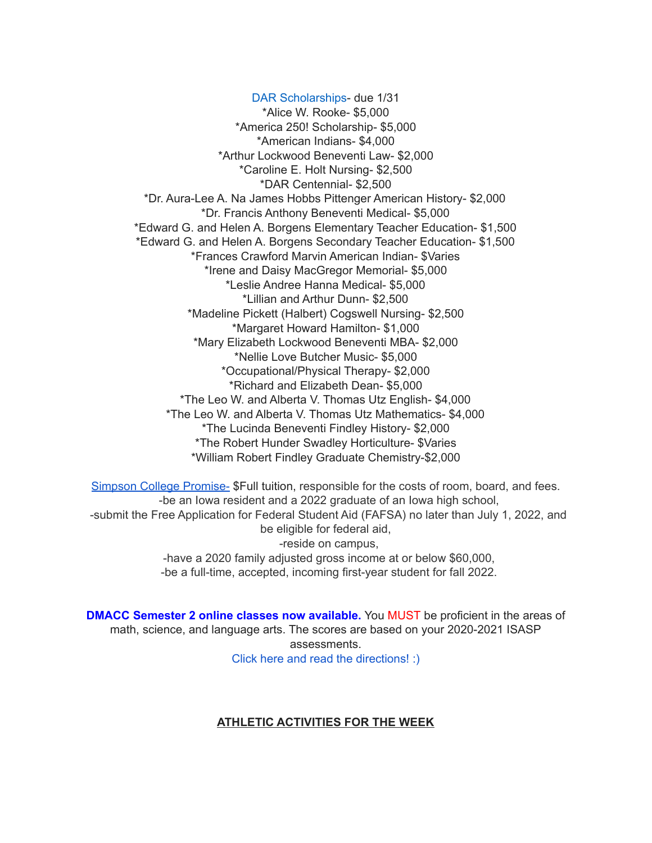DAR [Scholarships-](https://dar.academicworks.com/) due 1/31 \*Alice W. Rooke- \$5,000 \*America 250! Scholarship- \$5,000 \*American Indians- \$4,000 \*Arthur Lockwood Beneventi Law- \$2,000 \*Caroline E. Holt Nursing- \$2,500 \*DAR Centennial- \$2,500 \*Dr. Aura-Lee A. Na James Hobbs Pittenger American History- \$2,000 \*Dr. Francis Anthony Beneventi Medical- \$5,000 \*Edward G. and Helen A. Borgens Elementary Teacher Education- \$1,500 \*Edward G. and Helen A. Borgens Secondary Teacher Education- \$1,500 \*Frances Crawford Marvin American Indian- \$Varies \*Irene and Daisy MacGregor Memorial- \$5,000 \*Leslie Andree Hanna Medical- \$5,000 \*Lillian and Arthur Dunn- \$2,500 \*Madeline Pickett (Halbert) Cogswell Nursing- \$2,500 \*Margaret Howard Hamilton- \$1,000 \*Mary Elizabeth Lockwood Beneventi MBA- \$2,000 \*Nellie Love Butcher Music- \$5,000 \*Occupational/Physical Therapy- \$2,000 \*Richard and Elizabeth Dean- \$5,000 \*The Leo W. and Alberta V. Thomas Utz English- \$4,000 \*The Leo W. and Alberta V. Thomas Utz Mathematics- \$4,000 \*The Lucinda Beneventi Findley History- \$2,000 \*The Robert Hunder Swadley Horticulture- \$Varies \*William Robert Findley Graduate Chemistry-\$2,000

Simpson College [Promise-](https://simpson.edu/admission-aid/tuition-aid/simpson-promise) \$Full tuition, responsible for the costs of room, board, and fees. -be an Iowa resident and a 2022 graduate of an Iowa high school, -submit the Free Application for Federal Student Aid (FAFSA) no later than July 1, 2022, and be eligible for federal aid, -reside on campus, -have a 2020 family adjusted gross income at or below \$60,000, -be a full-time, accepted, incoming first-year student for fall 2022.

**DMACC Semester 2 online classes now available.** You MUST be proficient in the areas of math, science, and language arts. The scores are based on your 2020-2021 ISASP assessments. Click here and read the [directions!](https://docs.google.com/document/d/1DwEmgrLuBDkU4bqokTEqzimj1v3EFqhLcx5OUZTQjsg/edit?usp=sharing) :)

#### **ATHLETIC ACTIVITIES FOR THE WEEK**